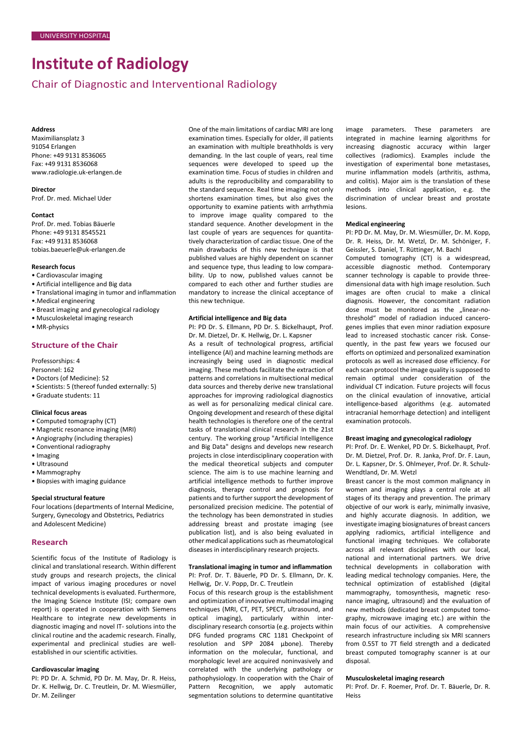# **Institute of Radiology**

# Chair of Diagnostic and Interventional Radiology

#### **Address**

Maximiliansplatz 3 91054 Erlangen Phone: +49 9131 8536065 Fax: +49 9131 8536068 www.radiologie.uk-erlangen.de

**Director** Prof. Dr. med. Michael Uder

#### **Contact**

Prof. Dr. med. Tobias Bäuerle Phone: +49 9131 8545521 Fax: +49 9131 8536068 tobias.baeuerle@uk-erlangen.de

#### **Research focus**

- Cardiovascular imaging
- Artificial intelligence and Big data
- Translational imaging in tumor and inflammation
- •.Medical engineering
- Breast imaging and gynecological radiology
- Musculoskeletal imaging research
- MR-physics

## **Structure of the Chair**

Professorships: 4

- Personnel: 162
- Doctors (of Medicine): 52
- Scientists: 5 (thereof funded externally: 5)
- Graduate students: 11

#### **Clinical focus areas**

- Computed tomography (CT)
- Magnetic resonance imaging (MRI)
- Angiography (including therapies) • Conventional radiography
- 
- Imaging • Ultrasound
- Mammography
- Biopsies with imaging guidance

#### **Special structural feature**

Four locations (departments of Internal Medicine, Surgery, Gynecology and Obstetrics, Pediatrics and Adolescent Medicine)

### **Research**

Scientific focus of the Institute of Radiology is clinical and translational research. Within different study groups and research projects, the clinical impact of various imaging procedures or novel technical developments is evaluated. Furthermore, the Imaging Science Institute (ISI; compare own report) is operated in cooperation with Siemens Healthcare to integrate new developments in diagnostic imaging and novel IT- solutions into the clinical routine and the academic research. Finally, experimental and preclinical studies are wellestablished in our scientific activities.

#### **Cardiovascular imaging**

PI: PD Dr. A. Schmid, PD Dr. M. May, Dr. R. Heiss, Dr. K. Hellwig, Dr. C. Treutlein, Dr. M. Wiesmüller, Dr. M. Zeilinger

One of the main limitations of cardiac MRI are long examination times. Especially for older, ill patients an examination with multiple breathholds is very demanding. In the last couple of years, real time sequences were developed to speed up the examination time. Focus of studies in children and adults is the reproducibility and comparability to the standard sequence. Real time imaging not only shortens examination times, but also gives the opportunity to examine patients with arrhythmia to improve image quality compared to the standard sequence. Another development in the last couple of years are sequences for quantitatively characterization of cardiac tissue. One of the main drawbacks of this new technique is that published values are highly dependent on scanner and sequence type, thus leading to low comparability. Up to now, published values cannot be compared to each other and further studies are mandatory to increase the clinical acceptance of this new technique.

#### **Artificial intelligence and Big data**

PI: PD Dr. S. Ellmann, PD Dr. S. Bickelhaupt, Prof. Dr. M. Dietzel, Dr. K. Hellwig, Dr. L. Kapsner

As a result of technological progress, artificial intelligence (AI) and machine learning methods are increasingly being used in diagnostic medical imaging. These methods facilitate the extraction of patterns and correlations in multisectional medical data sources and thereby derive new translational approaches for improving radiological diagnostics as well as for personalizing medical clinical care. Ongoing development and research of these digital health technologies is therefore one of the central tasks of translational clinical research in the 21st century. The working group "Artificial Intelligence and Big Data" designs and develops new research projects in close interdisciplinary cooperation with the medical theoretical subjects and computer science. The aim is to use machine learning and artificial intelligence methods to further improve diagnosis, therapy control and prognosis for patients and to further support the development of personalized precision medicine. The potential of the technology has been demonstrated in studies addressing breast and prostate imaging (see publication list), and is also being evaluated in other medical applications such as rheumatological diseases in interdisciplinary research projects.

#### **Translational imaging in tumor and inflammation** PI: Prof. Dr. T. Bäuerle, PD Dr. S. Ellmann, Dr. K.

Hellwig, Dr. V. Popp, Dr. C. Treutlein

Focus of this research group is the establishment and optimization of innovative multimodal imaging techniques (MRI, CT, PET, SPECT, ultrasound, and optical imaging), particularly within interdisciplinary research consortia (e.g. projects within DFG funded programs CRC 1181 Checkpoint of resolution and SPP 2084 µbone). Thereby information on the molecular, functional, and morphologic level are acquired noninvasively and correlated with the underlying pathology or pathophysiology. In cooperation with the Chair of Pattern Recognition, we apply automatic segmentation solutions to determine quantitative

image parameters. These parameters are integrated in machine learning algorithms for increasing diagnostic accuracy within larger collectives (radiomics). Examples include the investigation of experimental bone metastases, murine inflammation models (arthritis, asthma, and colitis). Major aim is the translation of these methods into clinical application, e.g. the discrimination of unclear breast and prostate lesions.

#### **Medical engineering**

PI: PD Dr. M. May, Dr. M. Wiesmüller, Dr. M. Kopp, Dr. R. Heiss, Dr. M. Wetzl, Dr. M. Schöniger, F. Geissler, S. Daniel, T. Rüttinger, M. Bachl

Computed tomography (CT) is a widespread, accessible diagnostic method. Contemporary scanner technology is capable to provide threedimensional data with high image resolution. Such images are often crucial to make a clinical diagnosis. However, the concomitant radiation dose must be monitored as the "linear-nothreshold" model of radiadion induced cancerogenes implies that even minor radiation exposure lead to increased stochastic cancer risk. Consequently, in the past few years we focused our efforts on optimized and personalized examination protocols as well as increased dose efficiency. For each scan protocol the image quality is supposed to remain optimal under consideration of the individual CT indication. Future projects will focus on the clinical evaulation of innovative, articial intelligence-based algorithms (e.g. automated intracranial hemorrhage detection) and intelligent examination protocols.

#### **Breast imaging and gynecological radiology**

PI: Prof. Dr. E. Wenkel, PD Dr. S. Bickelhaupt, Prof. Dr. M. Dietzel, Prof. Dr. R. Janka, Prof. Dr. F. Laun, Dr. L. Kapsner, Dr. S. Ohlmeyer, Prof. Dr. R. Schulz-Wendtland, Dr. M. Wetzl

Breast cancer is the most common malignancy in women and imaging plays a central role at all stages of its therapy and prevention. The primary objective of our work is early, minimally invasive, and highly accurate diagnosis. In addition, we investigate imaging biosignatures of breast cancers applying radiomics, artificial intelligence and functional imaging techniques. We collaborate across all relevant disciplines with our local, national and international partners. We drive technical developments in collaboration with leading medical technology companies. Here, the technical optimization of established (digital mammography, tomosynthesis, magnetic resonance imaging, ultrasound) and the evaluation of new methods (dedicated breast computed tomography, microwave imaging etc.) are within the main focus of our activities. A comprehensive research infrastructure including six MRI scanners from 0.55T to 7T field strength and a dedicated breast computed tomography scanner is at our disposal.

#### **Musculoskeletal imaging research**

PI: Prof. Dr. F. Roemer, Prof. Dr. T. Bäuerle, Dr. R. Heiss